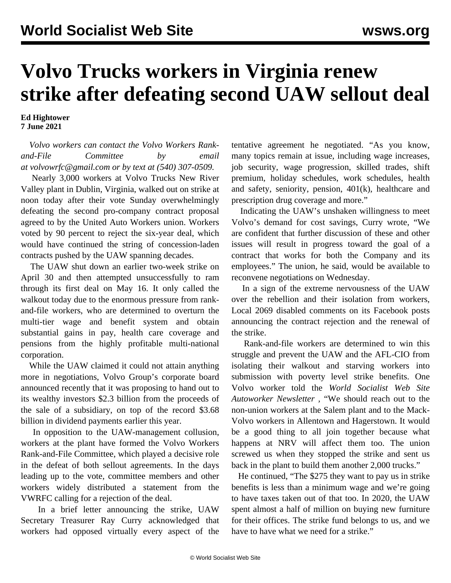## **Volvo Trucks workers in Virginia renew strike after defeating second UAW sellout deal**

**Ed Hightower 7 June 2021**

 *Volvo workers can contact the Volvo Workers Rankand-File Committee by email at [volvowrfc@gmail.com](mailto:volvowrfc@gmail.com) or by text at (540) 307-0509.*

 Nearly 3,000 workers at Volvo Trucks New River Valley plant in Dublin, Virginia, walked out on strike at noon today after their [vote Sunday](/en/articles/2021/06/07/volv-j07.html) overwhelmingly defeating the second pro-company contract proposal agreed to by the United Auto Workers union. Workers voted by 90 percent to reject the six-year deal, which would have continued the string of concession-laden contracts pushed by the UAW spanning decades.

 The UAW shut down an earlier two-week strike on April 30 and then attempted unsuccessfully to ram through its first deal on May 16. It only called the walkout today due to the enormous pressure from rankand-file workers, who are determined to overturn the multi-tier wage and benefit system and obtain substantial gains in pay, health care coverage and pensions from the highly profitable multi-national corporation.

 While the UAW claimed it could not attain anything more in negotiations, Volvo Group's corporate board announced recently that it was proposing to hand out to its wealthy investors \$2.3 billion from the proceeds of the sale of a subsidiary, on top of the record \$3.68 billion in dividend payments earlier this year.

 In opposition to the UAW-management collusion, workers at the plant have formed the Volvo Workers Rank-and-File Committee, which played a decisive role in the defeat of both sellout agreements. In the days leading up to the vote, committee members and other workers widely distributed a [statement](/en/articles/2021/06/04/vrwc-j04.html) from the VWRFC calling for a rejection of the deal.

 In a brief letter announcing the strike, UAW Secretary Treasurer Ray Curry acknowledged that workers had opposed virtually every aspect of the tentative agreement he negotiated. "As you know, many topics remain at issue, including wage increases, job security, wage progression, skilled trades, shift premium, holiday schedules, work schedules, health and safety, seniority, pension, 401(k), healthcare and prescription drug coverage and more."

 Indicating the UAW's unshaken willingness to meet Volvo's demand for cost savings, Curry wrote, "We are confident that further discussion of these and other issues will result in progress toward the goal of a contract that works for both the Company and its employees." The union, he said, would be available to reconvene negotiations on Wednesday.

 In a sign of the extreme nervousness of the UAW over the rebellion and their isolation from workers, Local 2069 disabled comments on its Facebook posts announcing the contract rejection and the renewal of the strike.

 Rank-and-file workers are determined to win this struggle and prevent the UAW and the AFL-CIO from isolating their walkout and starving workers into submission with poverty level strike benefits. One Volvo worker told the *World Socialist Web Site Autoworker Newsletter ,* "We should reach out to the non-union workers at the Salem plant and to the Mack-Volvo workers in Allentown and Hagerstown. It would be a good thing to all join together because what happens at NRV will affect them too. The union screwed us when they stopped the strike and sent us back in the plant to build them another 2,000 trucks."

 He continued, "The \$275 they want to pay us in strike benefits is less than a minimum wage and we're going to have taxes taken out of that too. In 2020, the UAW spent almost a half of million on buying new furniture for their offices. The strike fund belongs to us, and we have to have what we need for a strike."